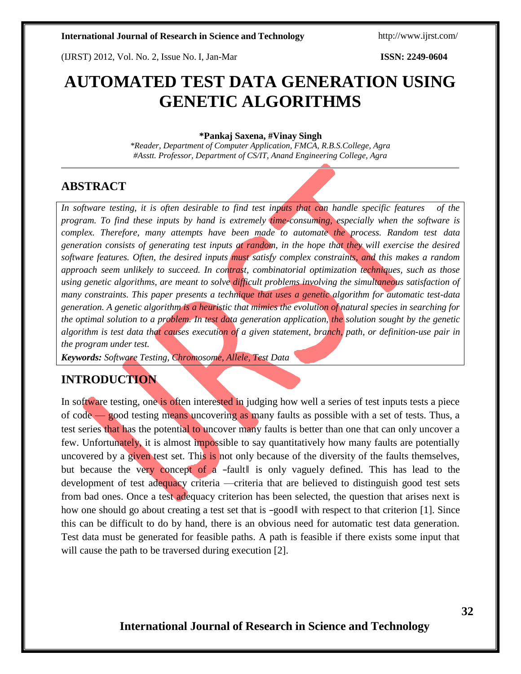(IJRST) 2012, Vol. No. 2, Issue No. I, Jan-Mar **ISSN: 2249-0604**

# **AUTOMATED TEST DATA GENERATION USING GENETIC ALGORITHMS**

#### **\*Pankaj Saxena, #Vinay Singh**

*\*Reader, Department of Computer Application, FMCA, R.B.S.College, Agra #Asstt. Professor, Department of CS/IT, Anand Engineering College, Agra*

# **ABSTRACT**

*In software testing, it is often desirable to find test inputs that can handle specific features of the program. To find these inputs by hand is extremely time-consuming, especially when the software is complex. Therefore, many attempts have been made to automate the process. Random test data generation consists of generating test inputs at random, in the hope that they will exercise the desired software features. Often, the desired inputs must satisfy complex constraints, and this makes a random approach seem unlikely to succeed. In contrast, combinatorial optimization techniques, such as those using genetic algorithms, are meant to solve difficult problems involving the simultaneous satisfaction of many constraints. This paper presents a technique that uses a genetic algorithm for automatic test-data generation. A genetic algorithm is a heuristic that mimics the evolution of natural species in searching for the optimal solution to a problem. In test data generation application, the solution sought by the genetic* algorithm is test data that causes execution of a given statement, branch, path, or definition-use pair in *the program under test.*

*Keywords: Software Testing, Chromosome, Allele, Test Data*

# **INTRODUCTION**

In software testing, one is often interested in judging how well a series of test inputs tests a piece of code — good testing means uncovering as many faults as possible with a set of tests. Thus, a test series that has the potential to uncover many faults is better than one that can only uncover a few. Unfortunately, it is almost impossible to say quantitatively how many faults are potentially uncovered by a given test set. This is not only because of the diversity of the faults themselves, but because the very concept of a -fault is only vaguely defined. This has lead to the development of test adequacy criteria —criteria that are believed to distinguish good test sets from bad ones. Once a test adequacy criterion has been selected, the question that arises next is how one should go about creating a test set that is -good with respect to that criterion [1]. Since this can be difficult to do by hand, there is an obvious need for automatic test data generation. Test data must be generated for feasible paths. A path is feasible if there exists some input that will cause the path to be traversed during execution [2].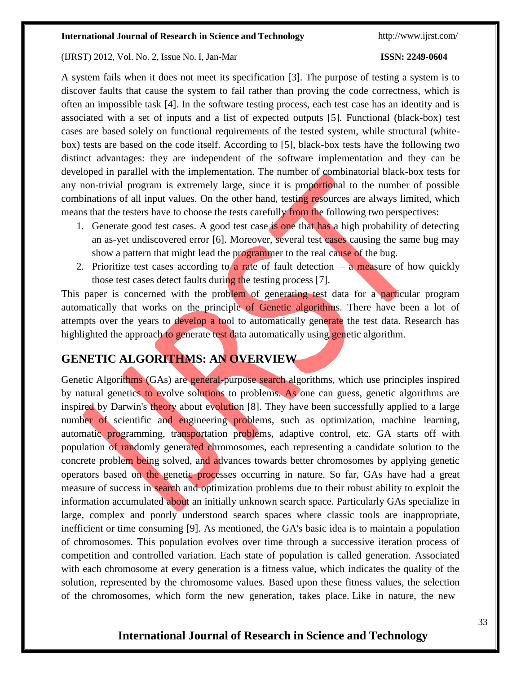### (IJRST) 2012, Vol. No. 2, Issue No. I, Jan-Mar **ISSN: 2249-0604**

A system fails when it does not meet its specification [3]. The purpose of testing a system is to discover faults that cause the system to fail rather than proving the code correctness, which is often an impossible task [4]. In the software testing process, each test case has an identity and is associated with a set of inputs and a list of expected outputs [5]. Functional (black-box) test cases are based solely on functional requirements of the tested system, while structural (whitebox) tests are based on the code itself. According to [5], black-box tests have the following two distinct advantages: they are independent of the software implementation and they can be developed in parallel with the implementation. The number of combinatorial black-box tests for any non-trivial program is extremely large, since it is proportional to the number of possible combinations of all input values. On the other hand, testing resources are always limited, which means that the testers have to choose the tests carefully from the following two perspectives:

- 1. Generate good test cases. A good test case is one that has a high probability of detecting an as-yet undiscovered error [6]. Moreover, several test cases causing the same bug may show a pattern that might lead the programmer to the real cause of the bug.
- 2. Prioritize test cases according to a rate of fault detection  $-\alpha$  measure of how quickly those test cases detect faults during the testing process [7].

This paper is concerned with the problem of generating test data for a particular program automatically that works on the principle of Genetic algorithms. There have been a lot of attempts over the years to develop a tool to automatically generate the test data. Research has highlighted the approach to generate test data automatically using genetic algorithm.

# **GENETIC ALGORITHMS: AN OVERVIEW**

Genetic Algorithms (GAs) are general-purpose search algorithms, which use principles inspired by natural genetics to evolve solutions to problems. As one can guess, genetic algorithms are inspired by Darwin's theory about evolution [8]. They have been successfully applied to a large number of scientific and engineering problems, such as optimization, machine learning, automatic programming, transportation problems, adaptive control, etc. GA starts off with population of randomly generated chromosomes, each representing a candidate solution to the concrete problem being solved, and advances towards better chromosomes by applying genetic operators based on the genetic processes occurring in nature. So far, GAs have had a great measure of success in search and optimization problems due to their robust ability to exploit the information accumulated about an initially unknown search space. Particularly GAs specialize in large, complex and poorly understood search spaces where classic tools are inappropriate, inefficient or time consuming [9]. As mentioned, the GA's basic idea is to maintain a population of chromosomes. This population evolves over time through a successive iteration process of competition and controlled variation. Each state of population is called generation. Associated with each chromosome at every generation is a fitness value, which indicates the quality of the solution, represented by the chromosome values. Based upon these fitness values, the selection of the chromosomes, which form the new generation, takes place. Like in nature, the new

# **International Journal of Research in Science and Technology**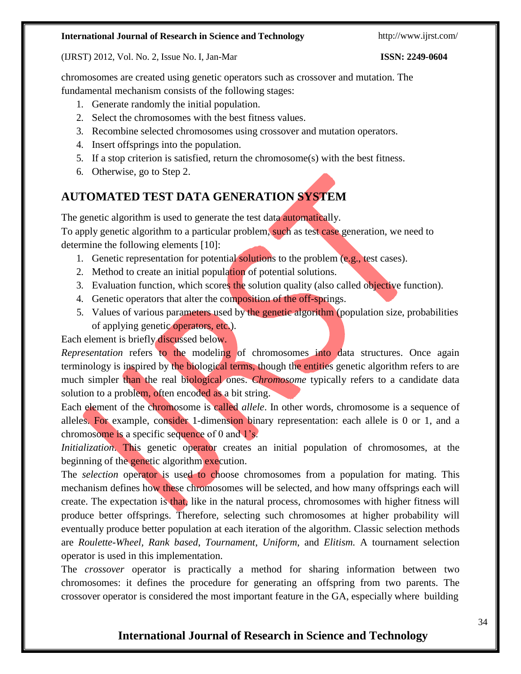(IJRST) 2012, Vol. No. 2, Issue No. I, Jan-Mar **ISSN: 2249-0604**

chromosomes are created using genetic operators such as crossover and mutation. The fundamental mechanism consists of the following stages:

- 1. Generate randomly the initial population.
- 2. Select the chromosomes with the best fitness values.
- 3. Recombine selected chromosomes using crossover and mutation operators.
- 4. Insert offsprings into the population.
- 5. If a stop criterion is satisfied, return the chromosome(s) with the best fitness.
- 6. Otherwise, go to Step 2.

# **AUTOMATED TEST DATA GENERATION SYSTEM**

The genetic algorithm is used to generate the test data automatically.

To apply genetic algorithm to a particular problem, such as test case generation, we need to determine the following elements [10]:

- 1. Genetic representation for potential solutions to the problem (e.g., test cases).
- 2. Method to create an initial population of potential solutions.
- 3. Evaluation function, which scores the solution quality (also called objective function).
- 4. Genetic operators that alter the composition of the off-springs.
- 5. Values of various parameters used by the genetic algorithm (population size, probabilities of applying genetic operators, etc.).

Each element is briefly discussed below.

*Representation* refers to the modeling of chromosomes into data structures. Once again terminology is inspired by the biological terms, though the entities genetic algorithm refers to are much simpler than the real biological ones. *Chromosome* typically refers to a candidate data solution to a problem, often encoded as a bit string.

Each element of the chromosome is called *allele*. In other words, chromosome is a sequence of alleles. For example, consider 1-dimension binary representation: each allele is 0 or 1, and a chromosome is a specific sequence of 0 and 1's.

*Initialization*. This genetic operator creates an initial population of chromosomes, at the beginning of the genetic algorithm execution.

The *selection* operator is used to choose chromosomes from a population for mating. This mechanism defines how these chromosomes will be selected, and how many offsprings each will create. The expectation is that, like in the natural process, chromosomes with higher fitness will produce better offsprings. Therefore, selecting such chromosomes at higher probability will eventually produce better population at each iteration of the algorithm. Classic selection methods are *Roulette-Wheel, Rank based*, *Tournament*, *Uniform*, and *Elitism.* A tournament selection operator is used in this implementation.

The *crossover* operator is practically a method for sharing information between two chromosomes: it defines the procedure for generating an offspring from two parents. The crossover operator is considered the most important feature in the GA, especially where building

# **International Journal of Research in Science and Technology**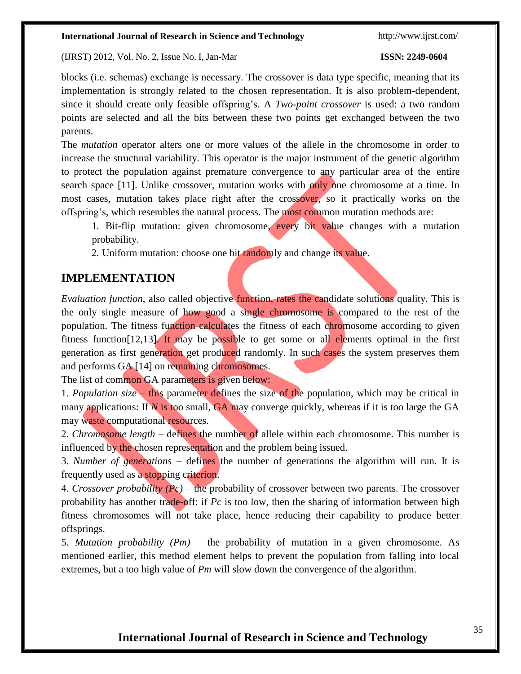#### (IJRST) 2012, Vol. No. 2, Issue No. I, Jan-Mar **ISSN: 2249-0604**

blocks (i.e. schemas) exchange is necessary. The crossover is data type specific, meaning that its implementation is strongly related to the chosen representation. It is also problem-dependent, since it should create only feasible offspring's. A *Two-point crossover* is used: a two random points are selected and all the bits between these two points get exchanged between the two parents.

The *mutation* operator alters one or more values of the allele in the chromosome in order to increase the structural variability. This operator is the major instrument of the genetic algorithm to protect the population against premature convergence to any particular area of the entire search space [11]. Unlike crossover, mutation works with only one chromosome at a time. In most cases, mutation takes place right after the crossover, so it practically works on the offspring's, which resembles the natural process. The most common mutation methods are:

1. Bit-flip mutation: given chromosome, every bit value changes with a mutation probability.

2. Uniform mutation: choose one bit randomly and change its value.

# **IMPLEMENTATION**

*Evaluation function*, also called objective function, rates the candidate solutions quality. This is the only single measure of how good a single chromosome is compared to the rest of the population. The fitness function calculates the fitness of each chromosome according to given fitness function[12,13]. It may be possible to get some or all elements optimal in the first generation as first generation get produced randomly. In such cases the system preserves them and performs GA [14] on remaining chromosomes.

The list of common GA parameters is given below:

1. *Population size* – this parameter defines the size of the population, which may be critical in many applications: If *N* is too small, GA may converge quickly, whereas if it is too large the GA may waste computational resources.

2. *Chromosome length* – defines the number of allele within each chromosome. This number is influenced by the chosen representation and the problem being issued.

3. *Number of generations* – defines the number of generations the algorithm will run. It is frequently used as a stopping criterion.

4. *Crossover probability (Pc)* – the probability of crossover between two parents. The crossover probability has another trade-off: if *Pc* is too low, then the sharing of information between high fitness chromosomes will not take place, hence reducing their capability to produce better offsprings.

5. *Mutation probability (Pm)* – the probability of mutation in a given chromosome. As mentioned earlier, this method element helps to prevent the population from falling into local extremes, but a too high value of *Pm* will slow down the convergence of the algorithm.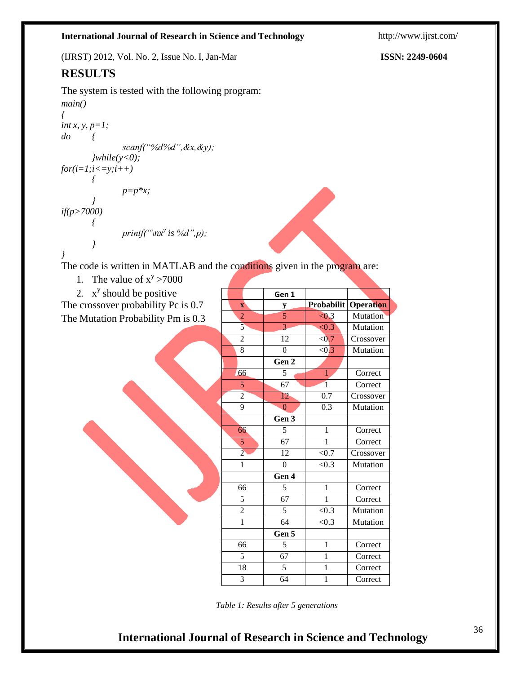(IJRST) 2012, Vol. No. 2, Issue No. I, Jan-Mar **ISSN: 2249-0604**

# **RESULTS**

The system is tested with the following program: *main() { int x, y, p=1; do { scanf("%d%d",&x,&y); }while(y<0);*  $for(i=1;i<=y;i++)$ *{ } if(p>7000) { p=p\*x;*  $print(f''\n)x^y$  *is* %*d*",*p*);

$$
\overline{}
$$

*}*

The code is written in MATLAB and the conditions given in the program are:

1. The value of  $x^y > 7000$ 

2.  $x^y$  should be positive The crossover probability Pc is 0.7 The Mutation Probability Pm is 0.3

|                         | Gen 1          |                |           |
|-------------------------|----------------|----------------|-----------|
| $\overline{\mathbf{X}}$ | y              | Probabilit     | Operation |
| $\overline{2}$          | 5              | < 0.3          | Mutation  |
| $\overline{5}$          | $\overline{3}$ | < 0.3          | Mutation  |
| $\overline{c}$          | 12             | < 0.7          | Crossover |
| $\overline{8}$          | $\overline{0}$ | < 0.3          | Mutation  |
|                         | Gen 2          |                |           |
| 66                      | 5              | $\mathbf{1}$   | Correct   |
| 5                       | 67             | $\overline{1}$ | Correct   |
| $\overline{2}$          | 12             | 0.7            | Crossover |
| $\overline{9}$          | $\overline{0}$ | 0.3            | Mutation  |
|                         | Gen 3          |                |           |
| 66                      | $\overline{5}$ | $\mathbf{1}$   | Correct   |
| 5                       | 67             | $\mathbf{1}$   | Correct   |
| $\overline{2}$          | 12             | ${<}0.7$       | Crossover |
| 1                       | $\theta$       | < 0.3          | Mutation  |
|                         | Gen 4          |                |           |
| 66                      | 5              | 1              | Correct   |
| 5                       | 67             | 1              | Correct   |
| $\overline{c}$          | 5              | < 0.3          | Mutation  |
| 1                       | 64             | < 0.3          | Mutation  |
|                         | Gen 5          |                |           |
| 66                      | 5              | 1              | Correct   |
| $\overline{5}$          | 67             | 1              | Correct   |
| $\overline{18}$         | 5              | 1              | Correct   |
| 3                       | 64             | 1              | Correct   |

*Table 1: Results after 5 generations*

# **International Journal of Research in Science and Technology**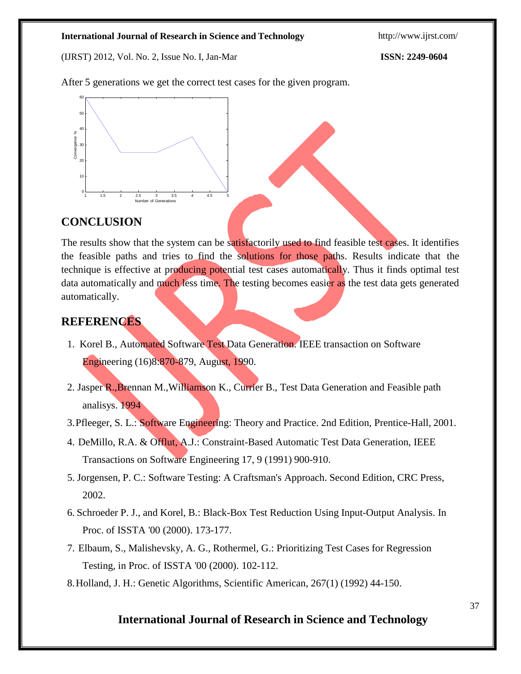(IJRST) 2012, Vol. No. 2, Issue No. I, Jan-Mar **ISSN: 2249-0604**

After 5 generations we get the correct test cases for the given program.



# **CONCLUSION**

The results show that the system can be satisfactorily used to find feasible test cases. It identifies the feasible paths and tries to find the solutions for those paths. Results indicate that the technique is effective at producing potential test cases automatically. Thus it finds optimal test data automatically and much less time. The testing becomes easier as the test data gets generated automatically. **EXECUTE ALGORITHY AND CONSERVING CONSERVING AND CONSERVATION**<br> **EXECUTE ALGORITHY AND AMERICAL CONSERVATION EXECUTE AMERICANT CONSERVATION**<br> **EXECUTE ALGORITHMS** and must be string holenical test cases antomatically. Th

# **REFERENCES**

- 1. Korel B., Automated Software Test Data Generation. IEEE transaction on Software Engineering (16)8:870-879, August, 1990.
- 2. Jasper R., Brennan M., Williamson K., Currier B., Test Data Generation and Feasible path analisys. 1994
- 3.Pfleeger, S. L.: Software Engineering: Theory and Practice. 2nd Edition, Prentice-Hall, 2001.
- 4. DeMillo, R.A. & Offlut, A.J.: Constraint-Based Automatic Test Data Generation, IEEE Transactions on Software Engineering 17, 9 (1991) 900-910.
- 5. Jorgensen, P. C.: Software Testing: A Craftsman's Approach. Second Edition, CRC Press, 2002.
- 6. Schroeder P. J., and Korel, B.: Black-Box Test Reduction Using Input-Output Analysis. In Proc. of ISSTA '00 (2000). 173-177.
- 7. Elbaum, S., Malishevsky, A. G., Rothermel, G.: Prioritizing Test Cases for Regression Testing, in Proc. of ISSTA '00 (2000). 102-112.
- 

# **International Journal of Research in Science and Technology**

37